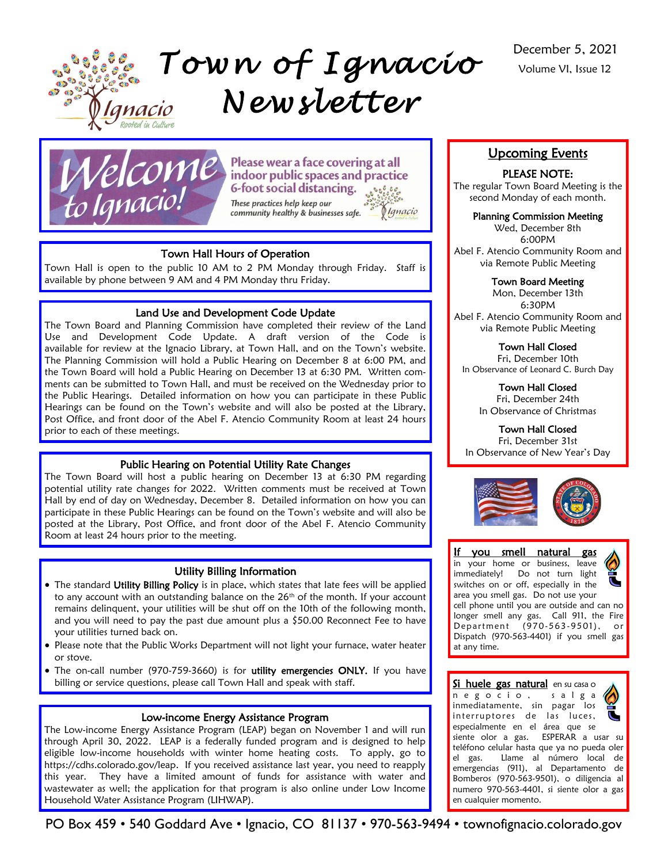





prior to each of these meetings.

Please wear a face covering at all indoor public spaces and practice **6-foot social distancing.** These practices help keep our

*<u>Manacio</u>* community healthy & businesses safe.

# December 5, 2021 Volume VI, Issue 12

# Upcoming Events

# PLEASE NOTE:

The regular Town Board Meeting is the second Monday of each month.

# Planning Commission Meeting

Wed, December 8th 6:00PM Abel F. Atencio Community Room and via Remote Public Meeting

# Town Board Meeting

Mon, December 13th 6:30PM Abel F. Atencio Community Room and via Remote Public Meeting

# Town Hall Closed

Fri, December 10th In Observance of Leonard C. Burch Day

> Town Hall Closed Fri, December 24th

In Observance of Christmas

# Town Hall Closed

Fri, December 31st In Observance of New Year's Day



### If you smell natural gas in your home or business, leave immediately! Do not turn light switches on or off, especially in the area you smell gas. Do not use your cell phone until you are outside and can no longer smell any gas. Call 911, the Fire Department (970-563-9501), or Dispatch (970-563-4401) if you smell gas at any time.

Si huele gas natural en su casa o n e g o c i o , s a l g a inmediatamente, sin pagar los interruptores de las luces, especialmente en el área que se siente olor a gas. ESPERAR a usar su teléfono celular hasta que ya no pueda oler el gas. Llame al número local de emergencias (911), al Departamento de Bomberos (970-563-9501), o diligencia al numero 970-563-4401, si siente olor a gas en cualquier momento.

Town Hall Hours of Operation Town Hall is open to the public 10 AM to 2 PM Monday through Friday. Staff is

Land Use and Development Code Update The Town Board and Planning Commission have completed their review of the Land Use and Development Code Update. A draft version of the Code is available for review at the Ignacio Library, at Town Hall, and on the Town's website. The Planning Commission will hold a Public Hearing on December 8 at 6:00 PM, and the Town Board will hold a Public Hearing on December 13 at 6:30 PM. Written comments can be submitted to Town Hall, and must be received on the Wednesday prior to the Public Hearings. Detailed information on how you can participate in these Public Hearings can be found on the Town's website and will also be posted at the Library, Post Office, and front door of the Abel F. Atencio Community Room at least 24 hours

available by phone between 9 AM and 4 PM Monday thru Friday.

Public Hearing on Potential Utility Rate Changes The Town Board will host a public hearing on December 13 at 6:30 PM regarding potential utility rate changes for 2022. Written comments must be received at Town Hall by end of day on Wednesday, December 8. Detailed information on how you can participate in these Public Hearings can be found on the Town's website and will also be posted at the Library, Post Office, and front door of the Abel F. Atencio Community Room at least 24 hours prior to the meeting.

# Utility Billing Information

- The standard Utility Billing Policy is in place, which states that late fees will be applied to any account with an outstanding balance on the  $26<sup>th</sup>$  of the month. If your account remains delinquent, your utilities will be shut off on the 10th of the following month, and you will need to pay the past due amount plus a \$50.00 Reconnect Fee to have your utilities turned back on.
- Please note that the Public Works Department will not light your furnace, water heater or stove.
- The on-call number (970-759-3660) is for utility emergencies ONLY. If you have billing or service questions, please call Town Hall and speak with staff.

# Low-income Energy Assistance Program

The Low-income Energy Assistance Program (LEAP) began on November 1 and will run through April 30, 2022. LEAP is a federally funded program and is designed to help eligible low-income households with winter home heating costs. To apply, go to https://cdhs.colorado.gov/leap. If you received assistance last year, you need to reapply this year. They have a limited amount of funds for assistance with water and wastewater as well; the application for that program is also online under Low Income Household Water Assistance Program (LIHWAP).

PO Box 459 • 540 Goddard Ave • Ignacio, CO 81137 • 970-563-9494 • townofignacio.colorado.gov